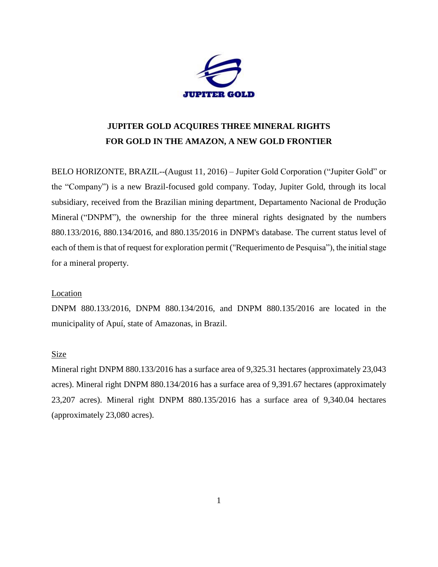

# **JUPITER GOLD ACQUIRES THREE MINERAL RIGHTS FOR GOLD IN THE AMAZON, A NEW GOLD FRONTIER**

BELO HORIZONTE, BRAZIL--(August 11, 2016) – Jupiter Gold Corporation ("Jupiter Gold" or the "Company") is a new Brazil-focused gold company. Today, Jupiter Gold, through its local subsidiary, received from the Brazilian mining department, Departamento Nacional de Produção Mineral ("DNPM"), the ownership for the three mineral rights designated by the numbers 880.133/2016, 880.134/2016, and 880.135/2016 in DNPM's database. The current status level of each of them is that of request for exploration permit ("Requerimento de Pesquisa"), the initial stage for a mineral property.

### Location

DNPM 880.133/2016, DNPM 880.134/2016, and DNPM 880.135/2016 are located in the municipality of Apuí, state of Amazonas, in Brazil.

### Size

Mineral right DNPM 880.133/2016 has a surface area of 9,325.31 hectares (approximately 23,043 acres). Mineral right DNPM 880.134/2016 has a surface area of 9,391.67 hectares (approximately 23,207 acres). Mineral right DNPM 880.135/2016 has a surface area of 9,340.04 hectares (approximately 23,080 acres).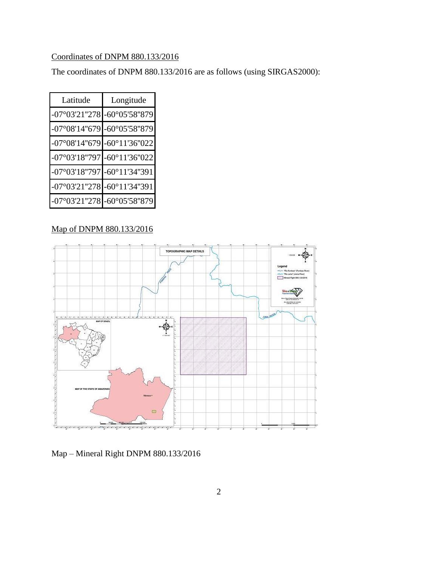# Coordinates of DNPM 880.133/2016

The coordinates of DNPM 880.133/2016 are as follows (using SIRGAS2000):

| Latitude                                        | Longitude                                       |
|-------------------------------------------------|-------------------------------------------------|
| -07°03'21"278 -60°05'58"879                     |                                                 |
| $-07^{\circ}08'14''679$ -60°05'58"879           |                                                 |
|                                                 | $-07^{\circ}08'14''679$ $-60^{\circ}11'36''022$ |
| $-07^{\circ}03'18''797$ -60°11'36"022           |                                                 |
| -07°03'18"797 -60°11'34"391                     |                                                 |
| $-07^{\circ}03'21''278$ $-60^{\circ}11'34''391$ |                                                 |
| $-07^{\circ}03'21''278$ -60°05'58"879           |                                                 |

### Map of DNPM 880.133/2016



Map – Mineral Right DNPM 880.133/2016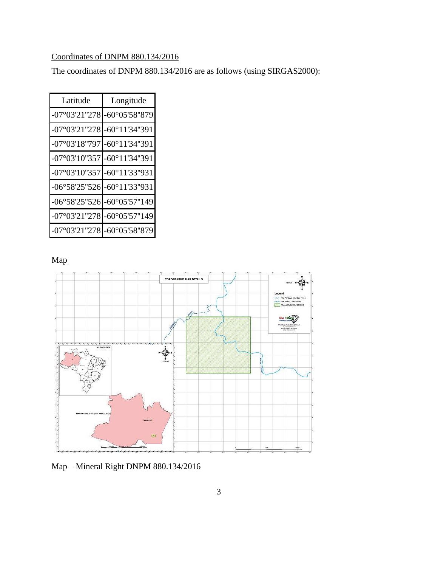# Coordinates of DNPM 880.134/2016

The coordinates of DNPM 880.134/2016 are as follows (using SIRGAS2000):

| Latitude                    | Longitude                   |
|-----------------------------|-----------------------------|
| -07°03'21"278 -60°05'58"879 |                             |
| $-07^{\circ}03'21''278$     | $-60^{\circ}11'34''391$     |
| $-07^{\circ}03'18''797$     | $-60^{\circ}11'34''391$     |
| -07°03'10"357 -60°11'34"391 |                             |
| -07°03'10"357 -60°11'33"931 |                             |
| -06°58'25"526 -60°11'33"931 |                             |
|                             | -06°58'25"526 -60°05'57"149 |
| $-07^{\circ}03'21''278$     | $-60^{\circ}05'57"149$      |
| $-07^{\circ}03'21''278$     | $-60^{\circ}05'58''879$     |

Map



Map – Mineral Right DNPM 880.134/2016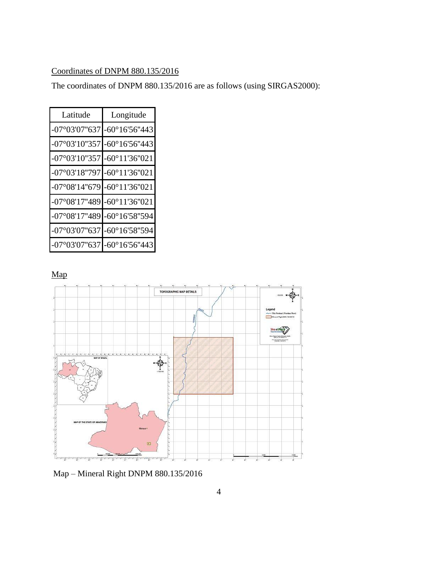### Coordinates of DNPM 880.135/2016

The coordinates of DNPM 880.135/2016 are as follows (using SIRGAS2000):

| Latitude                    | Longitude               |
|-----------------------------|-------------------------|
| $-07^{\circ}03'07"637$      | $-60^{\circ}16'56''443$ |
| -07°03'10"357 -60°16'56"443 |                         |
| $-07^{\circ}03'10''357$     | $-60^{\circ}11'36''021$ |
| -07°03'18"797 -60°11'36"021 |                         |
| -07°08'14"679 -60°11'36"021 |                         |
| -07°08'17"489 -60°11'36"021 |                         |
| -07°08'17"489 -60°16'58"594 |                         |
| -07°03'07"637 -60°16'58"594 |                         |
| $-07^{\circ}03'07"637$      | $-60^{\circ}16'56''443$ |

Map



Map – Mineral Right DNPM 880.135/2016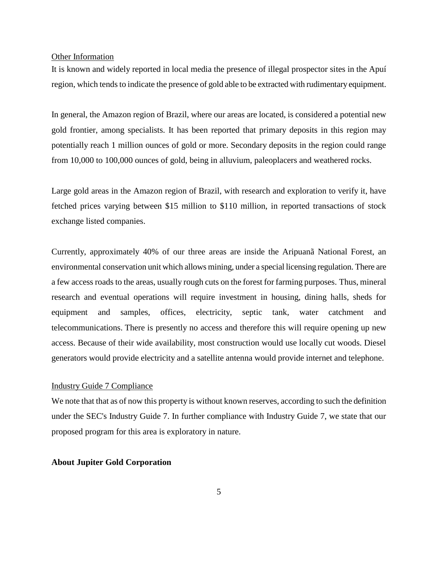#### Other Information

It is known and widely reported in local media the presence of illegal prospector sites in the Apuí region, which tends to indicate the presence of gold able to be extracted with rudimentary equipment.

In general, the Amazon region of Brazil, where our areas are located, is considered a potential new gold frontier, among specialists. It has been reported that primary deposits in this region may potentially reach 1 million ounces of gold or more. Secondary deposits in the region could range from 10,000 to 100,000 ounces of gold, being in alluvium, paleoplacers and weathered rocks.

Large gold areas in the Amazon region of Brazil, with research and exploration to verify it, have fetched prices varying between \$15 million to \$110 million, in reported transactions of stock exchange listed companies.

Currently, approximately 40% of our three areas are inside the Aripuanã National Forest, an environmental conservation unit which allows mining, under a special licensing regulation. There are a few access roads to the areas, usually rough cuts on the forest for farming purposes. Thus, mineral research and eventual operations will require investment in housing, dining halls, sheds for equipment and samples, offices, electricity, septic tank, water catchment and telecommunications. There is presently no access and therefore this will require opening up new access. Because of their wide availability, most construction would use locally cut woods. Diesel generators would provide electricity and a satellite antenna would provide internet and telephone.

### Industry Guide 7 Compliance

We note that that as of now this property is without known reserves, according to such the definition under the SEC's Industry Guide 7. In further compliance with Industry Guide 7, we state that our proposed program for this area is exploratory in nature.

### **About Jupiter Gold Corporation**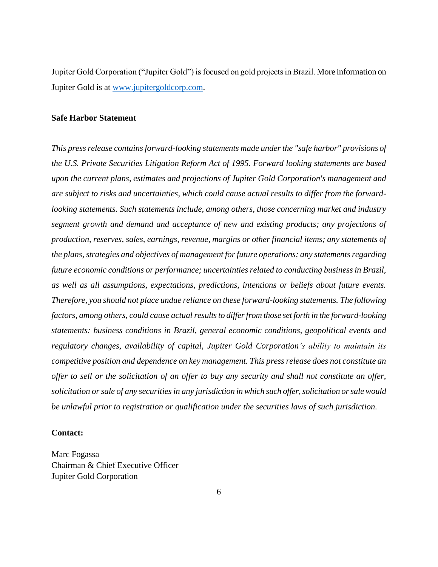Jupiter Gold Corporation ("Jupiter Gold") is focused on gold projects in Brazil. More information on Jupiter Gold is at [www.jupitergoldcorp.com.](../../../../../../../../../../../../../../../Downloads/www.jupitergoldcorp.com)

### **Safe Harbor Statement**

*This press release contains forward-looking statements made under the "safe harbor" provisions of the U.S. Private Securities Litigation Reform Act of 1995. Forward looking statements are based upon the current plans, estimates and projections of Jupiter Gold Corporation's management and are subject to risks and uncertainties, which could cause actual results to differ from the forwardlooking statements. Such statements include, among others, those concerning market and industry segment growth and demand and acceptance of new and existing products; any projections of production, reserves, sales, earnings, revenue, margins or other financial items; any statements of the plans, strategies and objectives of management for future operations; any statements regarding future economic conditions or performance; uncertainties related to conducting business in Brazil, as well as all assumptions, expectations, predictions, intentions or beliefs about future events. Therefore, you should not place undue reliance on these forward-looking statements. The following factors, among others, could cause actual results to differ from those set forth in the forward-looking statements: business conditions in Brazil, general economic conditions, geopolitical events and regulatory changes, availability of capital, Jupiter Gold Corporation's ability to maintain its competitive position and dependence on key management. This press release does not constitute an offer to sell or the solicitation of an offer to buy any security and shall not constitute an offer, solicitation or sale of any securities in any jurisdiction in which such offer, solicitation or sale would be unlawful prior to registration or qualification under the securities laws of such jurisdiction.*

#### **Contact:**

Marc Fogassa Chairman & Chief Executive Officer Jupiter Gold Corporation